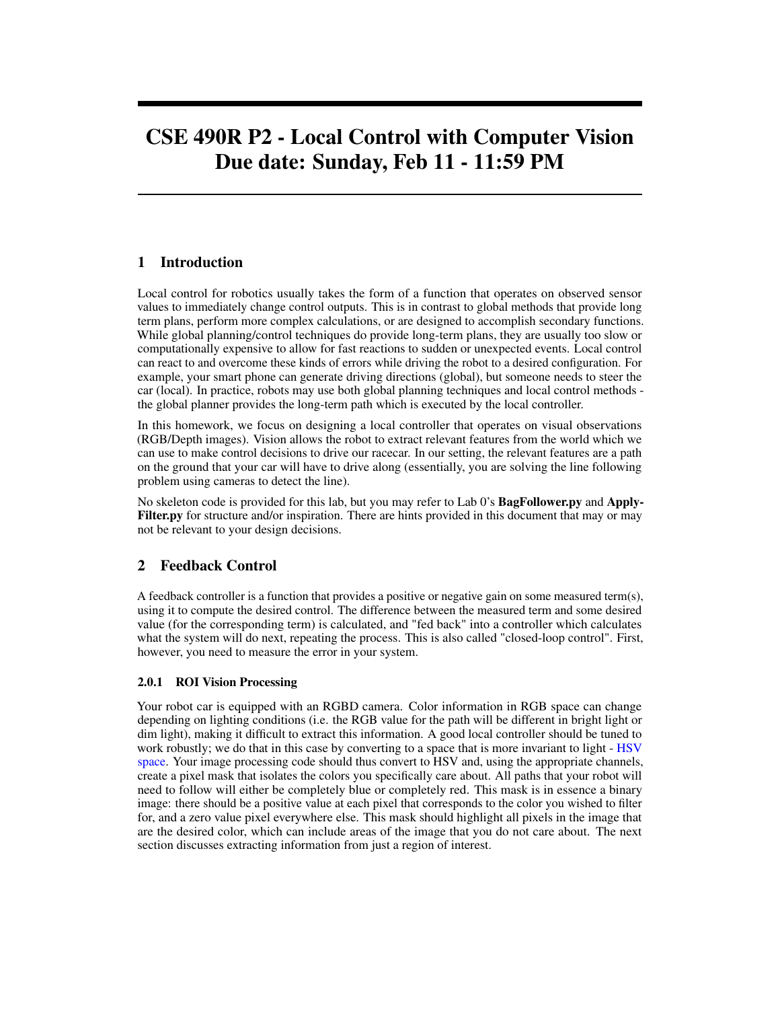# CSE 490R P2 - Local Control with Computer Vision Due date: Sunday, Feb 11 - 11:59 PM

## 1 Introduction

Local control for robotics usually takes the form of a function that operates on observed sensor values to immediately change control outputs. This is in contrast to global methods that provide long term plans, perform more complex calculations, or are designed to accomplish secondary functions. While global planning/control techniques do provide long-term plans, they are usually too slow or computationally expensive to allow for fast reactions to sudden or unexpected events. Local control can react to and overcome these kinds of errors while driving the robot to a desired configuration. For example, your smart phone can generate driving directions (global), but someone needs to steer the car (local). In practice, robots may use both global planning techniques and local control methods the global planner provides the long-term path which is executed by the local controller.

In this homework, we focus on designing a local controller that operates on visual observations (RGB/Depth images). Vision allows the robot to extract relevant features from the world which we can use to make control decisions to drive our racecar. In our setting, the relevant features are a path on the ground that your car will have to drive along (essentially, you are solving the line following problem using cameras to detect the line).

No skeleton code is provided for this lab, but you may refer to Lab 0's BagFollower.py and Apply-Filter.py for structure and/or inspiration. There are hints provided in this document that may or may not be relevant to your design decisions.

## 2 Feedback Control

A feedback controller is a function that provides a positive or negative gain on some measured term(s), using it to compute the desired control. The difference between the measured term and some desired value (for the corresponding term) is calculated, and "fed back" into a controller which calculates what the system will do next, repeating the process. This is also called "closed-loop control". First, however, you need to measure the error in your system.

#### 2.0.1 ROI Vision Processing

Your robot car is equipped with an RGBD camera. Color information in RGB space can change depending on lighting conditions (i.e. the RGB value for the path will be different in bright light or dim light), making it difficult to extract this information. A good local controller should be tuned to work robustly; we do that in this case by converting to a space that is more invariant to light - [HSV](https://en.wikipedia.org/wiki/HSL_and_HSV) [space.](https://en.wikipedia.org/wiki/HSL_and_HSV) Your image processing code should thus convert to HSV and, using the appropriate channels, create a pixel mask that isolates the colors you specifically care about. All paths that your robot will need to follow will either be completely blue or completely red. This mask is in essence a binary image: there should be a positive value at each pixel that corresponds to the color you wished to filter for, and a zero value pixel everywhere else. This mask should highlight all pixels in the image that are the desired color, which can include areas of the image that you do not care about. The next section discusses extracting information from just a region of interest.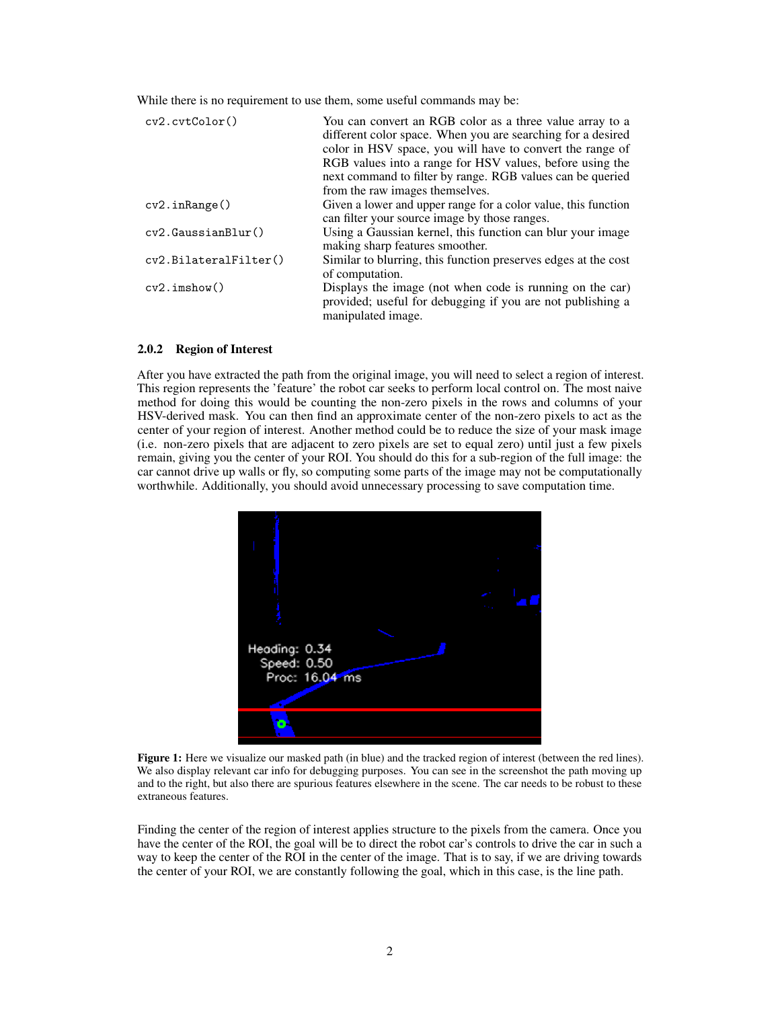While there is no requirement to use them, some useful commands may be:

| cv2.cvtColor()        | You can convert an RGB color as a three value array to a<br>different color space. When you are searching for a desired<br>color in HSV space, you will have to convert the range of<br>RGB values into a range for HSV values, before using the |
|-----------------------|--------------------------------------------------------------------------------------------------------------------------------------------------------------------------------------------------------------------------------------------------|
|                       | next command to filter by range. RGB values can be queried                                                                                                                                                                                       |
|                       | from the raw images themselves.                                                                                                                                                                                                                  |
| cv2.inRange()         | Given a lower and upper range for a color value, this function                                                                                                                                                                                   |
|                       | can filter your source image by those ranges.                                                                                                                                                                                                    |
| cv2.GaussianB1ur()    | Using a Gaussian kernel, this function can blur your image<br>making sharp features smoother.                                                                                                                                                    |
| cv2.BilateralFilter() | Similar to blurring, this function preserves edges at the cost<br>of computation.                                                                                                                                                                |
| cv2.inshow()          | Displays the image (not when code is running on the car)<br>provided; useful for debugging if you are not publishing a<br>manipulated image.                                                                                                     |

#### 2.0.2 Region of Interest

After you have extracted the path from the original image, you will need to select a region of interest. This region represents the 'feature' the robot car seeks to perform local control on. The most naive method for doing this would be counting the non-zero pixels in the rows and columns of your HSV-derived mask. You can then find an approximate center of the non-zero pixels to act as the center of your region of interest. Another method could be to reduce the size of your mask image (i.e. non-zero pixels that are adjacent to zero pixels are set to equal zero) until just a few pixels remain, giving you the center of your ROI. You should do this for a sub-region of the full image: the car cannot drive up walls or fly, so computing some parts of the image may not be computationally worthwhile. Additionally, you should avoid unnecessary processing to save computation time.



Figure 1: Here we visualize our masked path (in blue) and the tracked region of interest (between the red lines). We also display relevant car info for debugging purposes. You can see in the screenshot the path moving up and to the right, but also there are spurious features elsewhere in the scene. The car needs to be robust to these extraneous features.

Finding the center of the region of interest applies structure to the pixels from the camera. Once you have the center of the ROI, the goal will be to direct the robot car's controls to drive the car in such a way to keep the center of the ROI in the center of the image. That is to say, if we are driving towards the center of your ROI, we are constantly following the goal, which in this case, is the line path.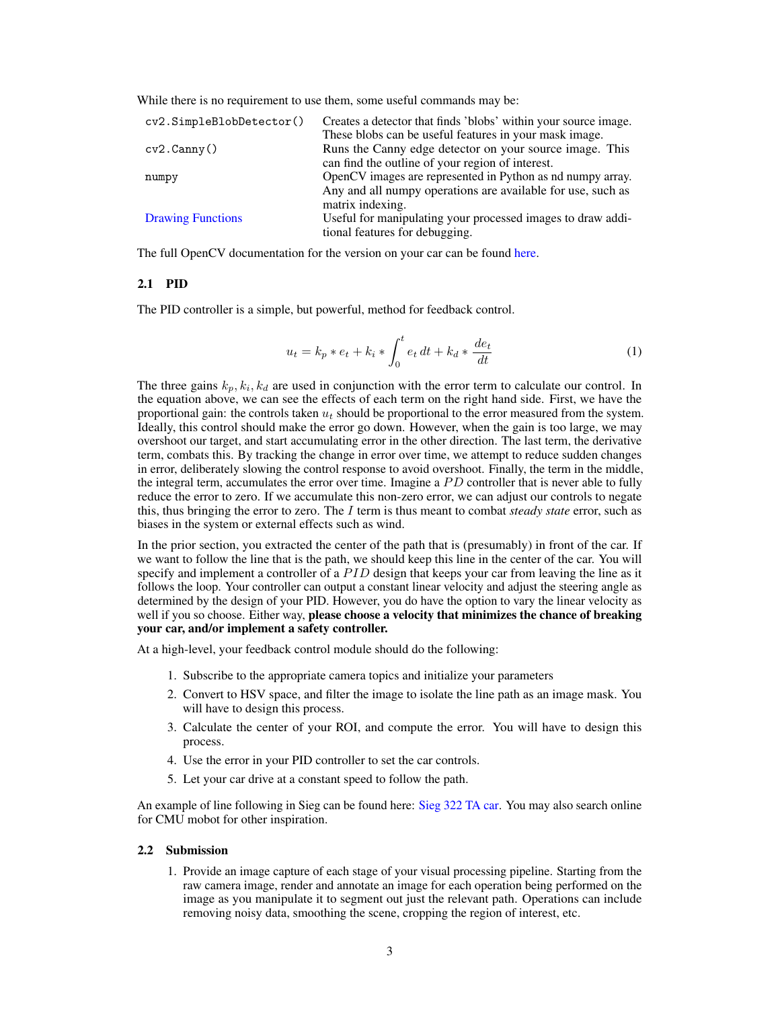While there is no requirement to use them, some useful commands may be:

| cv2.SimpleBlobDetector() | Creates a detector that finds 'blobs' within your source image. |
|--------------------------|-----------------------------------------------------------------|
|                          | These blobs can be useful features in your mask image.          |
| cv2.Canny()              | Runs the Canny edge detector on your source image. This         |
|                          | can find the outline of your region of interest.                |
| numpy                    | OpenCV images are represented in Python as nd numpy array.      |
|                          | Any and all numpy operations are available for use, such as     |
|                          | matrix indexing.                                                |
| <b>Drawing Functions</b> | Useful for manipulating your processed images to draw addi-     |
|                          | tional features for debugging.                                  |

The full OpenCV documentation for the version on your car can be found [here.](https://docs.opencv.org/3.3.1/)

#### 2.1 PID

The PID controller is a simple, but powerful, method for feedback control.

$$
u_t = k_p * e_t + k_i * \int_0^t e_t dt + k_d * \frac{de_t}{dt}
$$
 (1)

The three gains  $k_p, k_i, k_d$  are used in conjunction with the error term to calculate our control. In the equation above, we can see the effects of each term on the right hand side. First, we have the proportional gain: the controls taken  $u_t$  should be proportional to the error measured from the system. Ideally, this control should make the error go down. However, when the gain is too large, we may overshoot our target, and start accumulating error in the other direction. The last term, the derivative term, combats this. By tracking the change in error over time, we attempt to reduce sudden changes in error, deliberately slowing the control response to avoid overshoot. Finally, the term in the middle, the integral term, accumulates the error over time. Imagine a  $PD$  controller that is never able to fully reduce the error to zero. If we accumulate this non-zero error, we can adjust our controls to negate this, thus bringing the error to zero. The I term is thus meant to combat *steady state* error, such as biases in the system or external effects such as wind.

In the prior section, you extracted the center of the path that is (presumably) in front of the car. If we want to follow the line that is the path, we should keep this line in the center of the car. You will specify and implement a controller of a PID design that keeps your car from leaving the line as it follows the loop. Your controller can output a constant linear velocity and adjust the steering angle as determined by the design of your PID. However, you do have the option to vary the linear velocity as well if you so choose. Either way, please choose a velocity that minimizes the chance of breaking your car, and/or implement a safety controller.

At a high-level, your feedback control module should do the following:

- 1. Subscribe to the appropriate camera topics and initialize your parameters
- 2. Convert to HSV space, and filter the image to isolate the line path as an image mask. You will have to design this process.
- 3. Calculate the center of your ROI, and compute the error. You will have to design this process.
- 4. Use the error in your PID controller to set the car controls.
- 5. Let your car drive at a constant speed to follow the path.

An example of line following in Sieg can be found here: [Sieg 322 TA car.](https://www.youtube.com/watch?v=jx8TYGbnFIg) You may also search online for CMU mobot for other inspiration.

#### 2.2 Submission

1. Provide an image capture of each stage of your visual processing pipeline. Starting from the raw camera image, render and annotate an image for each operation being performed on the image as you manipulate it to segment out just the relevant path. Operations can include removing noisy data, smoothing the scene, cropping the region of interest, etc.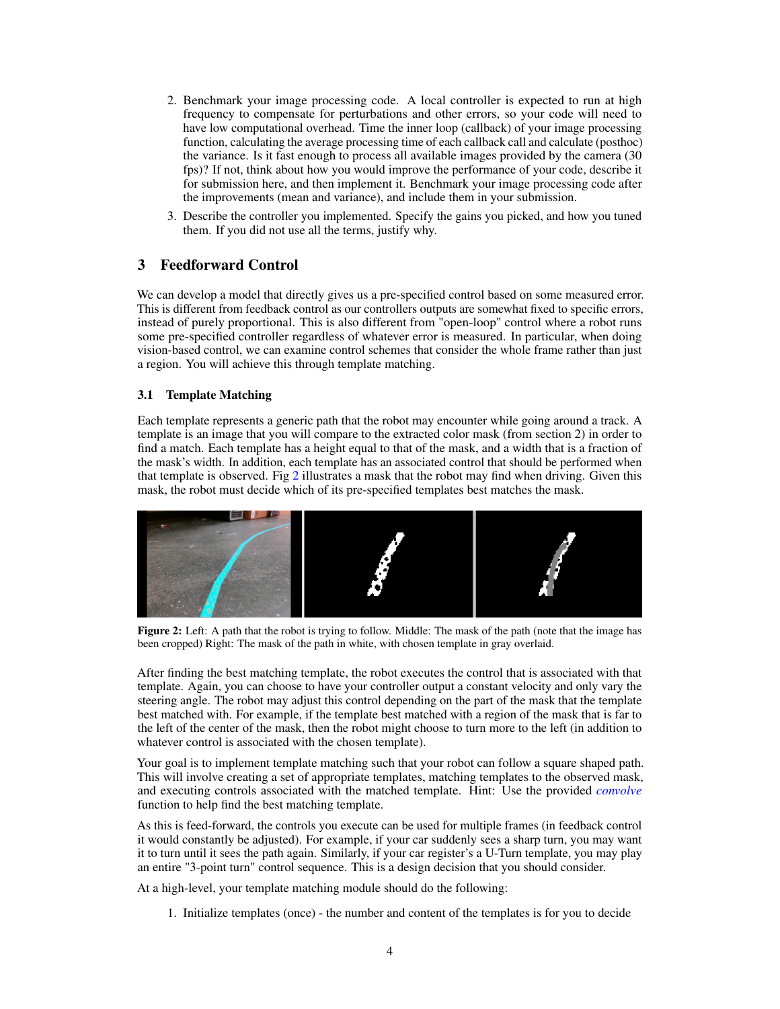- 2. Benchmark your image processing code. A local controller is expected to run at high frequency to compensate for perturbations and other errors, so your code will need to have low computational overhead. Time the inner loop (callback) of your image processing function, calculating the average processing time of each callback call and calculate (posthoc) the variance. Is it fast enough to process all available images provided by the camera (30 fps)? If not, think about how you would improve the performance of your code, describe it for submission here, and then implement it. Benchmark your image processing code after the improvements (mean and variance), and include them in your submission.
- 3. Describe the controller you implemented. Specify the gains you picked, and how you tuned them. If you did not use all the terms, justify why.

## 3 Feedforward Control

We can develop a model that directly gives us a pre-specified control based on some measured error. This is different from feedback control as our controllers outputs are somewhat fixed to specific errors, instead of purely proportional. This is also different from "open-loop" control where a robot runs some pre-specified controller regardless of whatever error is measured. In particular, when doing vision-based control, we can examine control schemes that consider the whole frame rather than just a region. You will achieve this through template matching.

#### 3.1 Template Matching

Each template represents a generic path that the robot may encounter while going around a track. A template is an image that you will compare to the extracted color mask (from section 2) in order to find a match. Each template has a height equal to that of the mask, and a width that is a fraction of the mask's width. In addition, each template has an associated control that should be performed when that template is observed. Fig [2](#page-3-0) illustrates a mask that the robot may find when driving. Given this mask, the robot must decide which of its pre-specified templates best matches the mask.

<span id="page-3-0"></span>

Figure 2: Left: A path that the robot is trying to follow. Middle: The mask of the path (note that the image has been cropped) Right: The mask of the path in white, with chosen template in gray overlaid.

After finding the best matching template, the robot executes the control that is associated with that template. Again, you can choose to have your controller output a constant velocity and only vary the steering angle. The robot may adjust this control depending on the part of the mask that the template best matched with. For example, if the template best matched with a region of the mask that is far to the left of the center of the mask, then the robot might choose to turn more to the left (in addition to whatever control is associated with the chosen template).

Your goal is to implement template matching such that your robot can follow a square shaped path. This will involve creating a set of appropriate templates, matching templates to the observed mask, and executing controls associated with the matched template. Hint: Use the provided *[convolve](https://gitlab.cs.washington.edu/cse490r_18wi/lab2/blob/master/convolve.py)* function to help find the best matching template.

As this is feed-forward, the controls you execute can be used for multiple frames (in feedback control it would constantly be adjusted). For example, if your car suddenly sees a sharp turn, you may want it to turn until it sees the path again. Similarly, if your car register's a U-Turn template, you may play an entire "3-point turn" control sequence. This is a design decision that you should consider.

At a high-level, your template matching module should do the following:

1. Initialize templates (once) - the number and content of the templates is for you to decide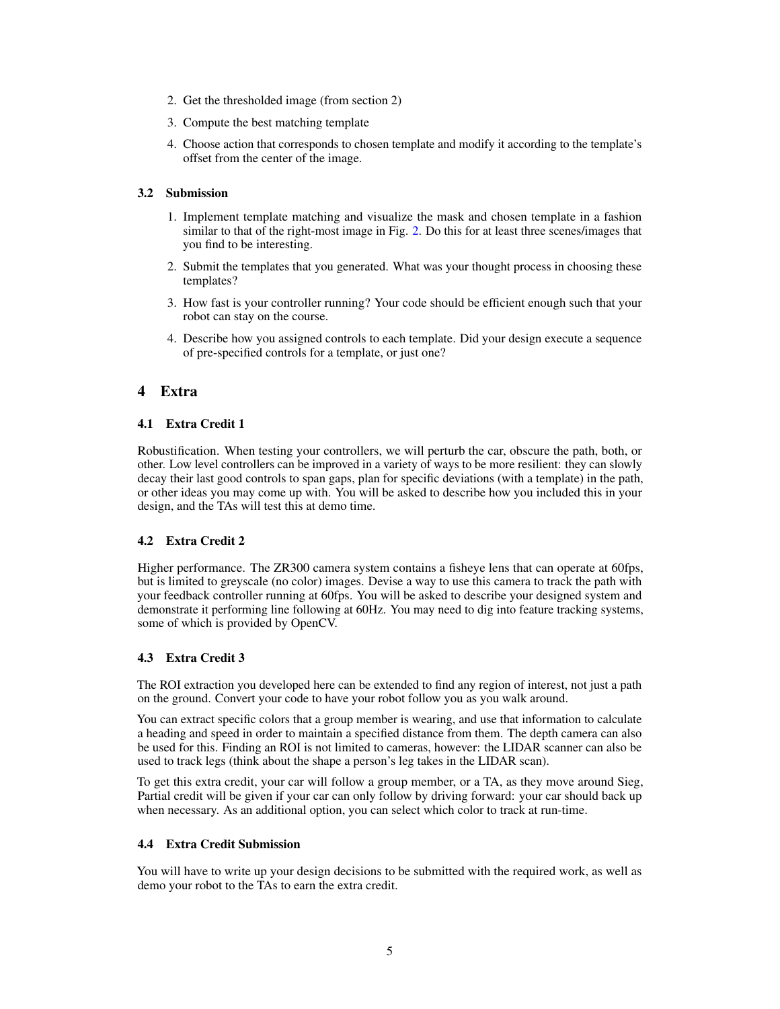- 2. Get the thresholded image (from section 2)
- 3. Compute the best matching template
- 4. Choose action that corresponds to chosen template and modify it according to the template's offset from the center of the image.

#### 3.2 Submission

- 1. Implement template matching and visualize the mask and chosen template in a fashion similar to that of the right-most image in Fig. [2.](#page-3-0) Do this for at least three scenes/images that you find to be interesting.
- 2. Submit the templates that you generated. What was your thought process in choosing these templates?
- 3. How fast is your controller running? Your code should be efficient enough such that your robot can stay on the course.
- 4. Describe how you assigned controls to each template. Did your design execute a sequence of pre-specified controls for a template, or just one?

## 4 Extra

#### 4.1 Extra Credit 1

Robustification. When testing your controllers, we will perturb the car, obscure the path, both, or other. Low level controllers can be improved in a variety of ways to be more resilient: they can slowly decay their last good controls to span gaps, plan for specific deviations (with a template) in the path, or other ideas you may come up with. You will be asked to describe how you included this in your design, and the TAs will test this at demo time.

### 4.2 Extra Credit 2

Higher performance. The ZR300 camera system contains a fisheye lens that can operate at 60fps, but is limited to greyscale (no color) images. Devise a way to use this camera to track the path with your feedback controller running at 60fps. You will be asked to describe your designed system and demonstrate it performing line following at 60Hz. You may need to dig into feature tracking systems, some of which is provided by OpenCV.

#### 4.3 Extra Credit 3

The ROI extraction you developed here can be extended to find any region of interest, not just a path on the ground. Convert your code to have your robot follow you as you walk around.

You can extract specific colors that a group member is wearing, and use that information to calculate a heading and speed in order to maintain a specified distance from them. The depth camera can also be used for this. Finding an ROI is not limited to cameras, however: the LIDAR scanner can also be used to track legs (think about the shape a person's leg takes in the LIDAR scan).

To get this extra credit, your car will follow a group member, or a TA, as they move around Sieg, Partial credit will be given if your car can only follow by driving forward: your car should back up when necessary. As an additional option, you can select which color to track at run-time.

#### 4.4 Extra Credit Submission

You will have to write up your design decisions to be submitted with the required work, as well as demo your robot to the TAs to earn the extra credit.